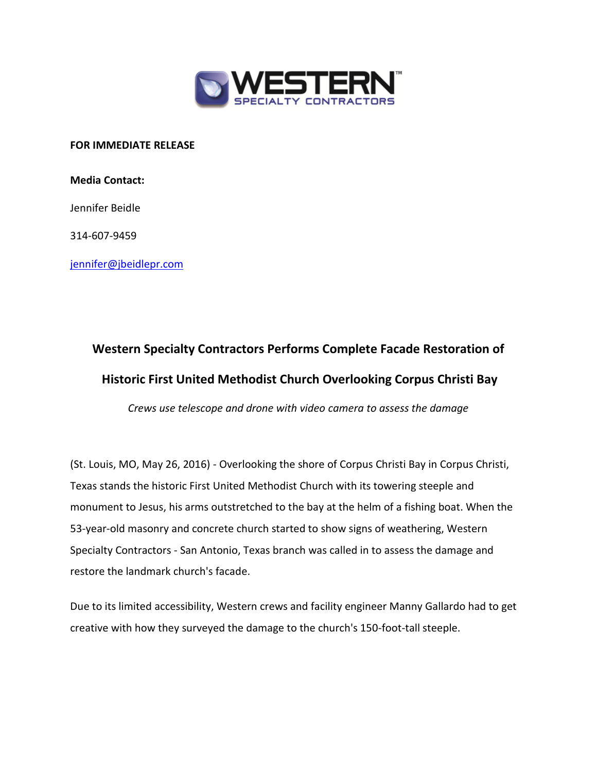

**FOR IMMEDIATE RELEASE**

**Media Contact:**

Jennifer Beidle

314-607-9459

[jennifer@jbeidlepr.com](mailto:jennifer@jbeidlepr.com)

## **Western Specialty Contractors Performs Complete Facade Restoration of Historic First United Methodist Church Overlooking Corpus Christi Bay**

*Crews use telescope and drone with video camera to assess the damage*

(St. Louis, MO, May 26, 2016) - Overlooking the shore of Corpus Christi Bay in Corpus Christi, Texas stands the historic First United Methodist Church with its towering steeple and monument to Jesus, his arms outstretched to the bay at the helm of a fishing boat. When the 53-year-old masonry and concrete church started to show signs of weathering, Western Specialty Contractors - San Antonio, Texas branch was called in to assess the damage and restore the landmark church's facade.

Due to its limited accessibility, Western crews and facility engineer Manny Gallardo had to get creative with how they surveyed the damage to the church's 150-foot-tall steeple.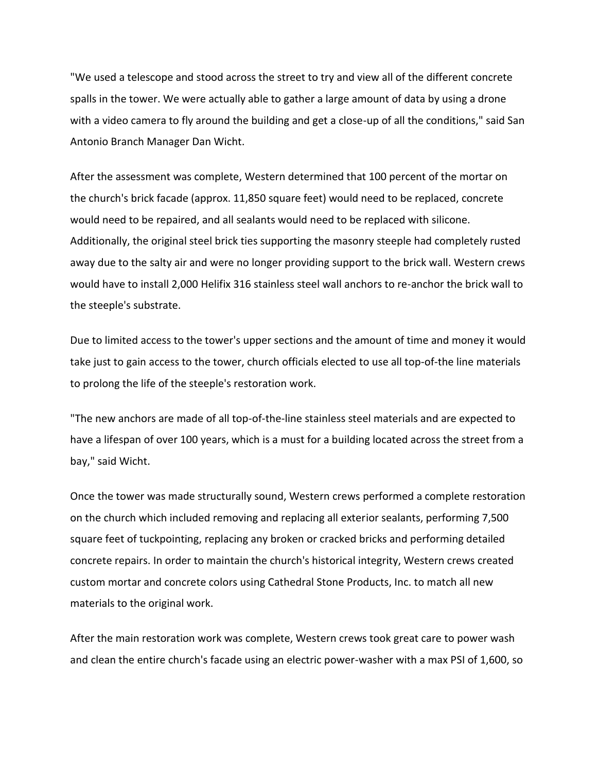"We used a telescope and stood across the street to try and view all of the different concrete spalls in the tower. We were actually able to gather a large amount of data by using a drone with a video camera to fly around the building and get a close-up of all the conditions," said San Antonio Branch Manager Dan Wicht.

After the assessment was complete, Western determined that 100 percent of the mortar on the church's brick facade (approx. 11,850 square feet) would need to be replaced, concrete would need to be repaired, and all sealants would need to be replaced with silicone. Additionally, the original steel brick ties supporting the masonry steeple had completely rusted away due to the salty air and were no longer providing support to the brick wall. Western crews would have to install 2,000 Helifix 316 stainless steel wall anchors to re-anchor the brick wall to the steeple's substrate.

Due to limited access to the tower's upper sections and the amount of time and money it would take just to gain access to the tower, church officials elected to use all top-of-the line materials to prolong the life of the steeple's restoration work.

"The new anchors are made of all top-of-the-line stainless steel materials and are expected to have a lifespan of over 100 years, which is a must for a building located across the street from a bay," said Wicht.

Once the tower was made structurally sound, Western crews performed a complete restoration on the church which included removing and replacing all exterior sealants, performing 7,500 square feet of tuckpointing, replacing any broken or cracked bricks and performing detailed concrete repairs. In order to maintain the church's historical integrity, Western crews created custom mortar and concrete colors using Cathedral Stone Products, Inc. to match all new materials to the original work.

After the main restoration work was complete, Western crews took great care to power wash and clean the entire church's facade using an electric power-washer with a max PSI of 1,600, so